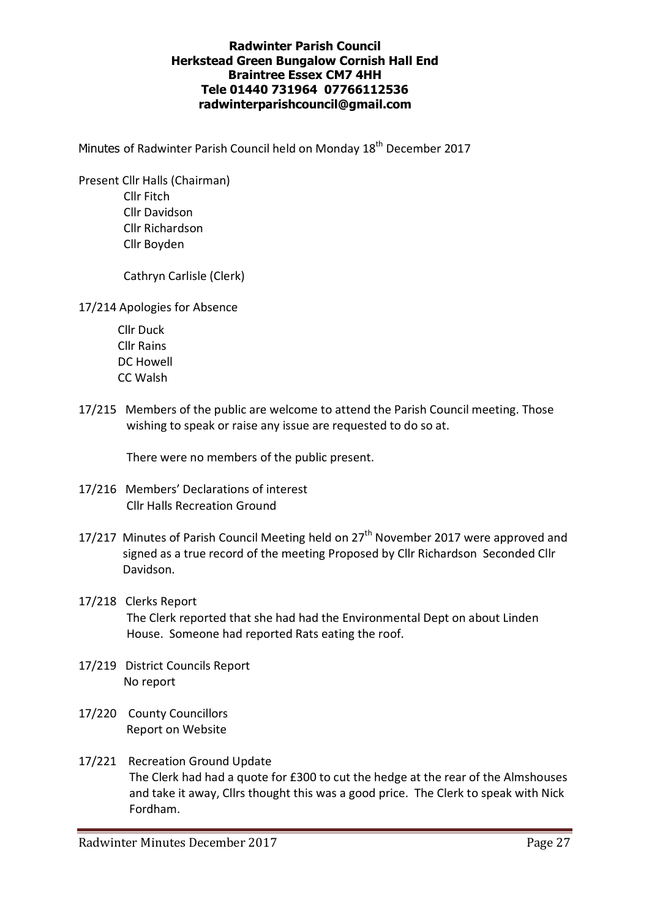#### **Radwinter Parish Council Herkstead Green Bungalow Cornish Hall End Braintree Essex CM7 4HH Tele 01440 731964 07766112536 radwinterparishcouncil@gmail.com**

Minutes of Radwinter Parish Council held on Monday 18<sup>th</sup> December 2017

Present Cllr Halls (Chairman) Cllr Fitch Cllr Davidson Cllr Richardson Cllr Boyden

Cathryn Carlisle (Clerk)

17/214 Apologies for Absence

 Cllr Duck Cllr Rains DC Howell CC Walsh

17/215 Members of the public are welcome to attend the Parish Council meeting. Those wishing to speak or raise any issue are requested to do so at.

There were no members of the public present.

- 17/216 Members' Declarations of interest Cllr Halls Recreation Ground
- 17/217 Minutes of Parish Council Meeting held on 27<sup>th</sup> November 2017 were approved and signed as a true record of the meeting Proposed by Cllr Richardson Seconded Cllr Davidson.

# 17/218 Clerks Report

The Clerk reported that she had had the Environmental Dept on about Linden House. Someone had reported Rats eating the roof.

- 17/219 District Councils Report No report
- 17/220 County Councillors Report on Website
- 17/221 Recreation Ground Update The Clerk had had a quote for £300 to cut the hedge at the rear of the Almshouses and take it away, Cllrs thought this was a good price. The Clerk to speak with Nick Fordham.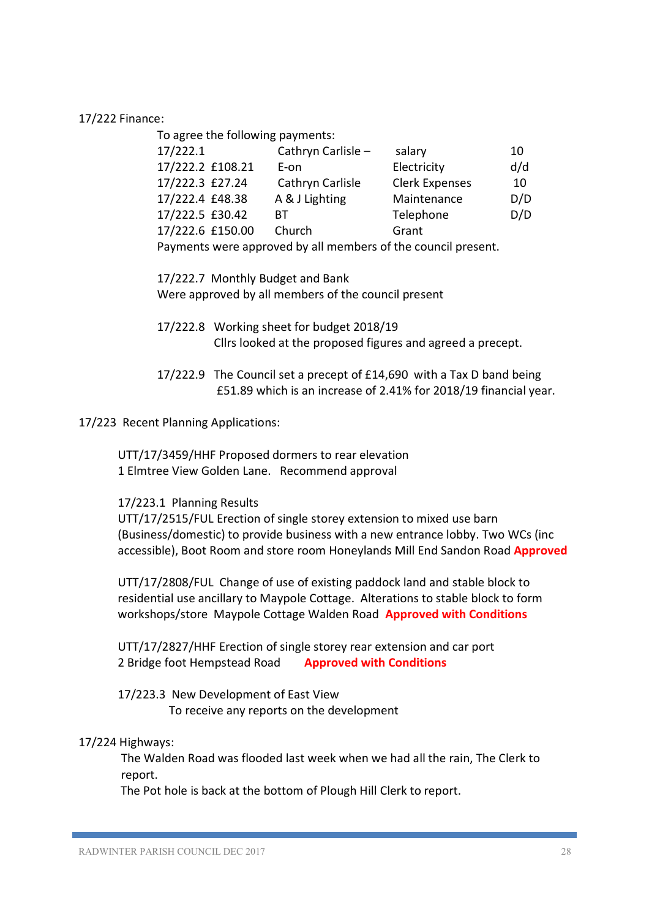#### 17/222 Finance:

| To agree the following payments:                              |                    |                       |     |
|---------------------------------------------------------------|--------------------|-----------------------|-----|
| 17/222.1                                                      | Cathryn Carlisle - | salary                | 10  |
| 17/222.2 £108.21                                              | E-on               | Electricity           | d/d |
| 17/222.3 £27.24                                               | Cathryn Carlisle   | <b>Clerk Expenses</b> | 10  |
| 17/222.4 £48.38                                               | A & J Lighting     | Maintenance           | D/D |
| 17/222.5 £30.42                                               | BТ                 | Telephone             | D/D |
| 17/222.6 £150.00                                              | Church             | Grant                 |     |
| Payments were approved by all members of the council present. |                    |                       |     |

17/222.7 Monthly Budget and Bank

Were approved by all members of the council present

- 17/222.8 Working sheet for budget 2018/19 Cllrs looked at the proposed figures and agreed a precept.
- 17/222.9 The Council set a precept of £14,690 with a Tax D band being £51.89 which is an increase of 2.41% for 2018/19 financial year.
- 17/223 Recent Planning Applications:

 UTT/17/3459/HHF Proposed dormers to rear elevation 1 Elmtree View Golden Lane. Recommend approval

## 17/223.1 Planning Results

UTT/17/2515/FUL Erection of single storey extension to mixed use barn (Business/domestic) to provide business with a new entrance lobby. Two WCs (inc accessible), Boot Room and store room Honeylands Mill End Sandon Road **Approved**

UTT/17/2808/FUL Change of use of existing paddock land and stable block to residential use ancillary to Maypole Cottage. Alterations to stable block to form workshops/store Maypole Cottage Walden Road **Approved with Conditions**

UTT/17/2827/HHF Erection of single storey rear extension and car port 2 Bridge foot Hempstead Road **Approved with Conditions**

17/223.3 New Development of East View

To receive any reports on the development

## 17/224 Highways:

The Walden Road was flooded last week when we had all the rain, The Clerk to report.

The Pot hole is back at the bottom of Plough Hill Clerk to report.